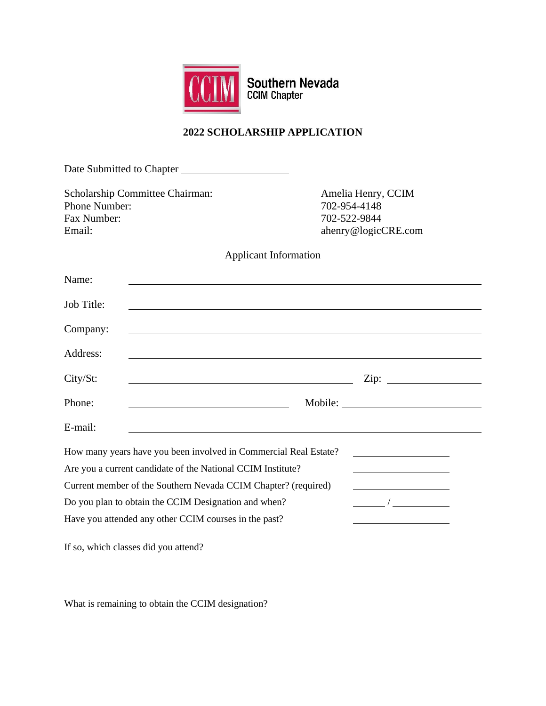

## **2022 SCHOLARSHIP APPLICATION**

| Scholarship Committee Chairman:<br>Phone Number:<br>Fax Number:<br>Email: | Amelia Henry, CCIM<br>702-954-4148<br>702-522-9844<br>ahenry@logicCRE.com                                           |
|---------------------------------------------------------------------------|---------------------------------------------------------------------------------------------------------------------|
|                                                                           | <b>Applicant Information</b>                                                                                        |
| Name:                                                                     |                                                                                                                     |
| Job Title:                                                                |                                                                                                                     |
| Company:                                                                  |                                                                                                                     |
| Address:                                                                  |                                                                                                                     |
| City/St:                                                                  |                                                                                                                     |
| Phone:<br><u> 1980 - Johann Barn, mars an t-Amerikaansk kommunister (</u> |                                                                                                                     |
| E-mail:                                                                   |                                                                                                                     |
| How many years have you been involved in Commercial Real Estate?          |                                                                                                                     |
| Are you a current candidate of the National CCIM Institute?               | <u> 1980 - Johann Barn, mars eta bainar eta baina eta baina eta baina eta baina eta baina eta baina eta baina e</u> |
| Current member of the Southern Nevada CCIM Chapter? (required)            |                                                                                                                     |
| Do you plan to obtain the CCIM Designation and when?                      |                                                                                                                     |
| Have you attended any other CCIM courses in the past?                     |                                                                                                                     |
|                                                                           |                                                                                                                     |

If so, which classes did you attend?

What is remaining to obtain the CCIM designation?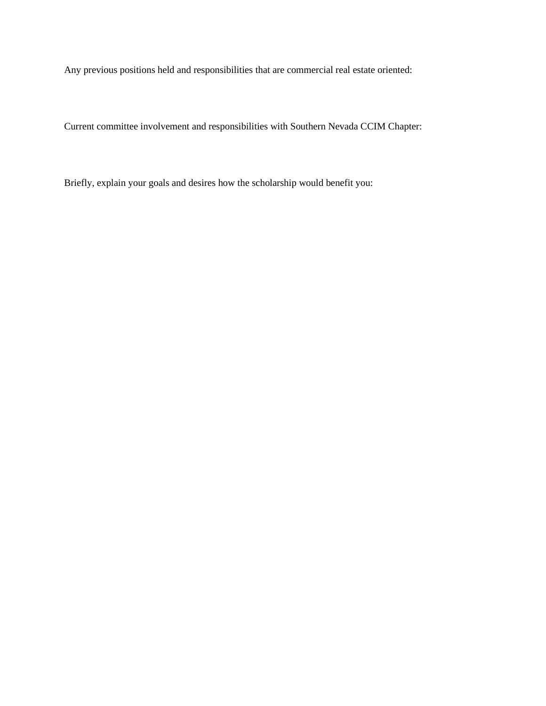Any previous positions held and responsibilities that are commercial real estate oriented:

Current committee involvement and responsibilities with Southern Nevada CCIM Chapter:

Briefly, explain your goals and desires how the scholarship would benefit you: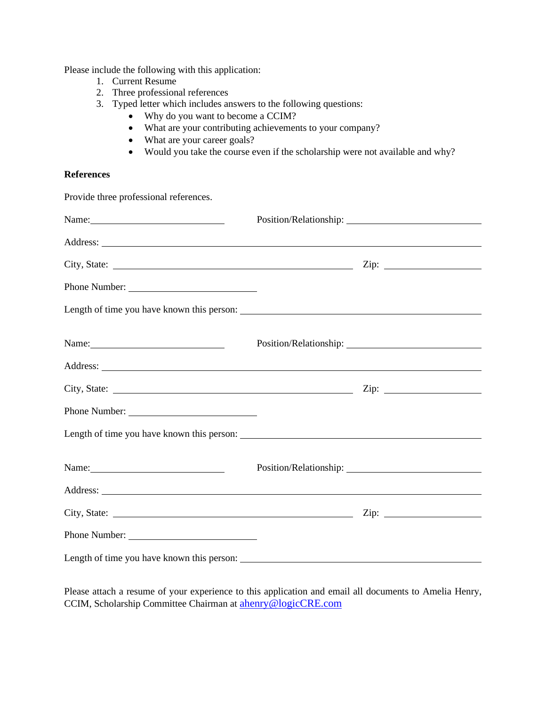Please include the following with this application:

1. Current Resume

Provide three professional references.

- 2. Three professional references
- 3. Typed letter which includes answers to the following questions:
	- Why do you want to become a CCIM?
	- What are your contributing achievements to your company?
	- What are your career goals?
	- Would you take the course even if the scholarship were not available and why?

## **References**

| Name:                                                                                                           |  |
|-----------------------------------------------------------------------------------------------------------------|--|
|                                                                                                                 |  |
|                                                                                                                 |  |
| Phone Number:                                                                                                   |  |
| Length of time you have known this person:                                                                      |  |
| Name: 2008. [2010] Name: 2008. [2010] 2010 2021 2022. [2010] 2012 2022. [2010] 2012 2022. [2010] 2012 2022. [20 |  |
|                                                                                                                 |  |
|                                                                                                                 |  |
| Phone Number:                                                                                                   |  |
| Length of time you have known this person:                                                                      |  |
|                                                                                                                 |  |
|                                                                                                                 |  |
|                                                                                                                 |  |
| Phone Number:                                                                                                   |  |
|                                                                                                                 |  |

Please attach a resume of your experience to this application and email all documents to Amelia Henry, CCIM, Scholarship Committee Chairman at [ahenry@logicCRE.com](mailto:ahenry@logicCRE.com)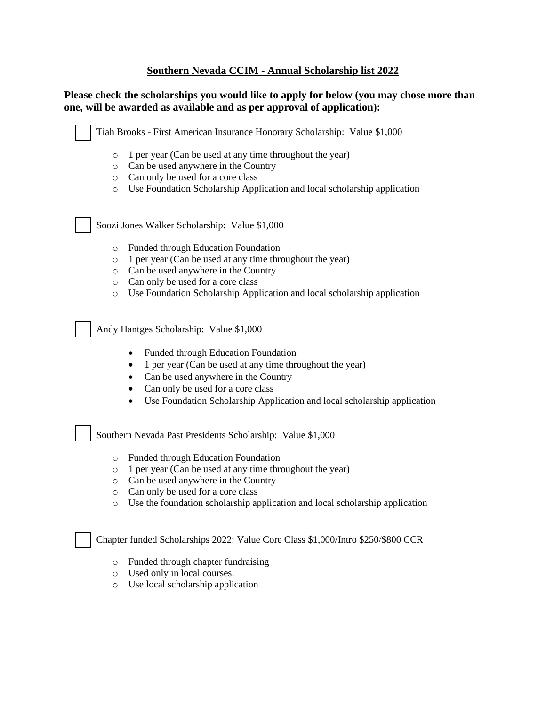## **Southern Nevada CCIM - Annual Scholarship list 2022**

**Please check the scholarships you would like to apply for below (you may chose more than one, will be awarded as available and as per approval of application):** 

• Tiah Brooks - First American Insurance Honorary Scholarship: Value \$1,000 o 1 per year (Can be used at any time throughout the year) o Can be used anywhere in the Country o Can only be used for a core class o Use Foundation Scholarship Application and local scholarship application • Soozi Jones Walker Scholarship: Value \$1,000 o Funded through Education Foundation o 1 per year (Can be used at any time throughout the year) o Can be used anywhere in the Country o Can only be used for a core class o Use Foundation Scholarship Application and local scholarship application • Andy Hantges Scholarship: Value \$1,000 • Funded through Education Foundation • 1 per year (Can be used at any time throughout the year) • Can be used anywhere in the Country • Can only be used for a core class • Use Foundation Scholarship Application and local scholarship application • Southern Nevada Past Presidents Scholarship: Value \$1,000 o Funded through Education Foundation o 1 per year (Can be used at any time throughout the year) o Can be used anywhere in the Country o Can only be used for a core class o Use the foundation scholarship application and local scholarship application • Chapter funded Scholarships 2022: Value Core Class \$1,000/Intro \$250/\$800 CCR o Funded through chapter fundraising o Used only in local courses. o Use local scholarship application